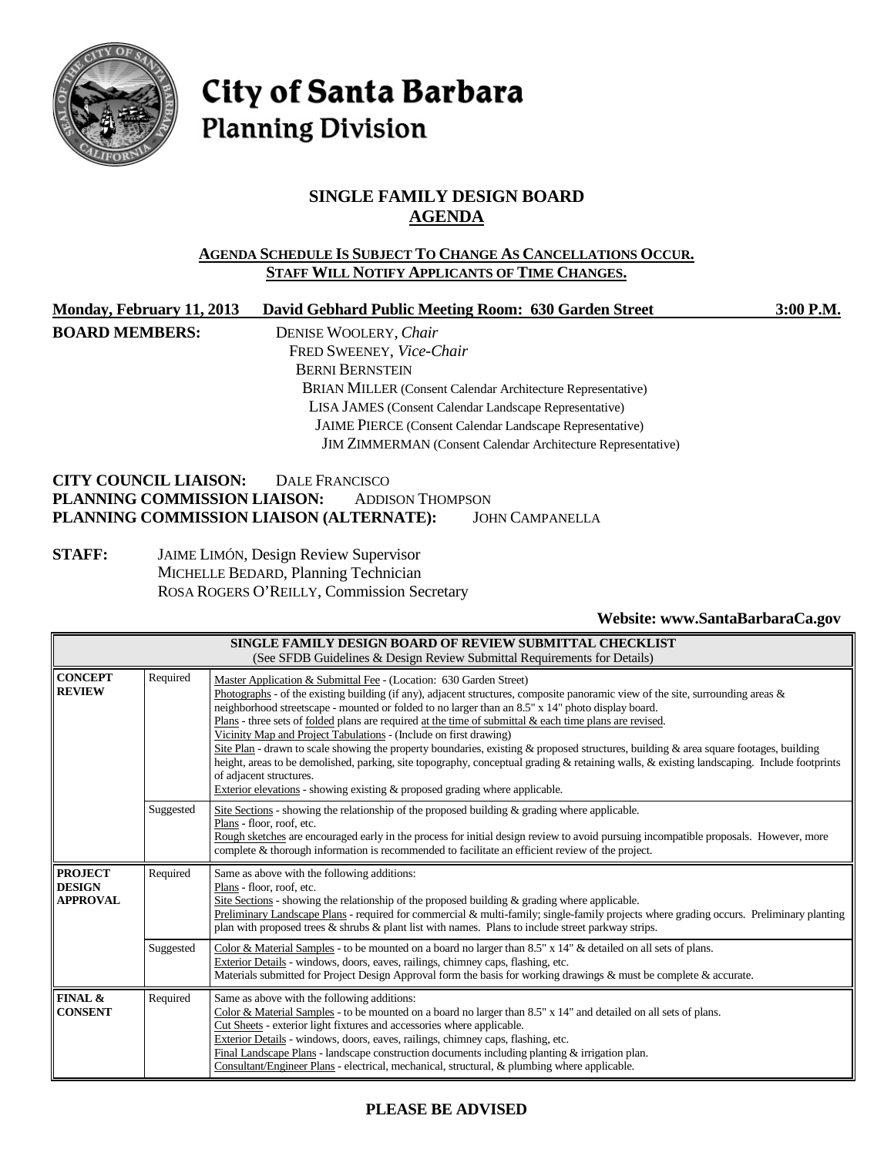

# City of Santa Barbara **Planning Division**

# **SINGLE FAMILY DESIGN BOARD AGENDA**

#### **AGENDA SCHEDULE IS SUBJECT TO CHANGE AS CANCELLATIONS OCCUR. STAFF WILL NOTIFY APPLICANTS OF TIME CHANGES.**

| Monday, February 11, 2013                | David Gebhard Public Meeting Room: 630 Garden Street                | 3:00 P.M. |  |  |
|------------------------------------------|---------------------------------------------------------------------|-----------|--|--|
| <b>BOARD MEMBERS:</b>                    | DENISE WOOLERY, Chair                                               |           |  |  |
|                                          | FRED SWEENEY, Vice-Chair                                            |           |  |  |
|                                          | <b>BERNI BERNSTEIN</b>                                              |           |  |  |
|                                          | <b>BRIAN MILLER</b> (Consent Calendar Architecture Representative)  |           |  |  |
|                                          | LISA JAMES (Consent Calendar Landscape Representative)              |           |  |  |
|                                          | JAIME PIERCE (Consent Calendar Landscape Representative)            |           |  |  |
|                                          | <b>JIM ZIMMERMAN</b> (Consent Calendar Architecture Representative) |           |  |  |
| <b>CITY COUNCIL LIAISON:</b>             | DALE FRANCISCO                                                      |           |  |  |
| PLANNING COMMISSION LIAISON:             | <b>ADDISON THOMPSON</b>                                             |           |  |  |
| PLANNING COMMISSION LIAISON (ALTERNATE): | <b>JOHN CAMPANELLA</b>                                              |           |  |  |

#### **STAFF:** JAIME LIMÓN, Design Review Supervisor MICHELLE BEDARD, Planning Technician ROSA ROGERS O'REILLY, Commission Secretary

#### **Website: [www.SantaBarbaraCa.gov](http://www.santabarbaraca.gov/)**

| SINGLE FAMILY DESIGN BOARD OF REVIEW SUBMITTAL CHECKLIST<br>(See SFDB Guidelines & Design Review Submittal Requirements for Details) |           |                                                                                                                                                                                                                                                                                                                                                                                                                                                                                                                                                                                                                                                                                                                                                                                                                                                                                                       |  |  |
|--------------------------------------------------------------------------------------------------------------------------------------|-----------|-------------------------------------------------------------------------------------------------------------------------------------------------------------------------------------------------------------------------------------------------------------------------------------------------------------------------------------------------------------------------------------------------------------------------------------------------------------------------------------------------------------------------------------------------------------------------------------------------------------------------------------------------------------------------------------------------------------------------------------------------------------------------------------------------------------------------------------------------------------------------------------------------------|--|--|
| <b>CONCEPT</b><br><b>REVIEW</b>                                                                                                      | Required  | Master Application & Submittal Fee - (Location: 630 Garden Street)<br>Photographs - of the existing building (if any), adjacent structures, composite panoramic view of the site, surrounding areas &<br>neighborhood streetscape - mounted or folded to no larger than an 8.5" x 14" photo display board.<br>Plans - three sets of <u>folded</u> plans are required at the time of submittal $\&$ each time plans are revised.<br>Vicinity Map and Project Tabulations - (Include on first drawing)<br>Site Plan - drawn to scale showing the property boundaries, existing & proposed structures, building & area square footages, building<br>height, areas to be demolished, parking, site topography, conceptual grading & retaining walls, & existing landscaping. Include footprints<br>of adjacent structures.<br>Exterior elevations - showing existing & proposed grading where applicable. |  |  |
|                                                                                                                                      | Suggested | Site Sections - showing the relationship of the proposed building $\&$ grading where applicable.<br>Plans - floor, roof, etc.<br>Rough sketches are encouraged early in the process for initial design review to avoid pursuing incompatible proposals. However, more<br>complete & thorough information is recommended to facilitate an efficient review of the project.                                                                                                                                                                                                                                                                                                                                                                                                                                                                                                                             |  |  |
| <b>PROJECT</b><br><b>DESIGN</b><br><b>APPROVAL</b>                                                                                   | Required  | Same as above with the following additions:<br>Plans - floor, roof, etc.<br>Site Sections - showing the relationship of the proposed building & grading where applicable.<br>Preliminary Landscape Plans - required for commercial & multi-family; single-family projects where grading occurs. Preliminary planting<br>plan with proposed trees $\&$ shrubs $\&$ plant list with names. Plans to include street parkway strips.                                                                                                                                                                                                                                                                                                                                                                                                                                                                      |  |  |
|                                                                                                                                      | Suggested | Color & Material Samples - to be mounted on a board no larger than 8.5" x 14" & detailed on all sets of plans.<br>Exterior Details - windows, doors, eaves, railings, chimney caps, flashing, etc.<br>Materials submitted for Project Design Approval form the basis for working drawings & must be complete & accurate.                                                                                                                                                                                                                                                                                                                                                                                                                                                                                                                                                                              |  |  |
| FINAL &<br><b>CONSENT</b>                                                                                                            | Required  | Same as above with the following additions:<br>Color & Material Samples - to be mounted on a board no larger than 8.5" x 14" and detailed on all sets of plans.<br>Cut Sheets - exterior light fixtures and accessories where applicable.<br>Exterior Details - windows, doors, eaves, railings, chimney caps, flashing, etc.<br>Final Landscape Plans - landscape construction documents including planting & irrigation plan.<br>Consultant/Engineer Plans - electrical, mechanical, structural, & plumbing where applicable.                                                                                                                                                                                                                                                                                                                                                                       |  |  |

# **PLEASE BE ADVISED**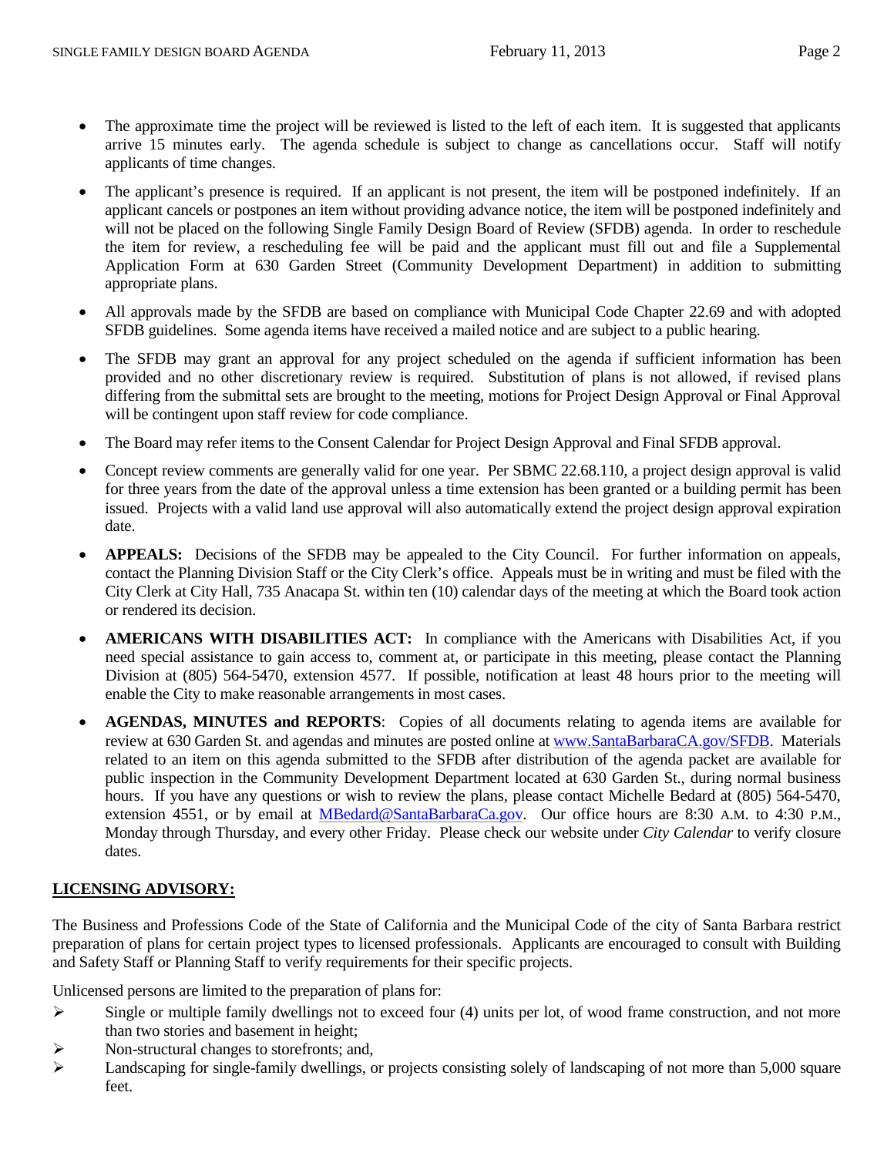- The approximate time the project will be reviewed is listed to the left of each item. It is suggested that applicants arrive 15 minutes early. The agenda schedule is subject to change as cancellations occur. Staff will notify applicants of time changes.
- The applicant's presence is required. If an applicant is not present, the item will be postponed indefinitely. If an applicant cancels or postpones an item without providing advance notice, the item will be postponed indefinitely and will not be placed on the following Single Family Design Board of Review (SFDB) agenda. In order to reschedule the item for review, a rescheduling fee will be paid and the applicant must fill out and file a Supplemental Application Form at 630 Garden Street (Community Development Department) in addition to submitting appropriate plans.
- All approvals made by the SFDB are based on compliance with Municipal Code Chapter 22.69 and with adopted SFDB guidelines. Some agenda items have received a mailed notice and are subject to a public hearing.
- The SFDB may grant an approval for any project scheduled on the agenda if sufficient information has been provided and no other discretionary review is required. Substitution of plans is not allowed, if revised plans differing from the submittal sets are brought to the meeting, motions for Project Design Approval or Final Approval will be contingent upon staff review for code compliance.
- The Board may refer items to the Consent Calendar for Project Design Approval and Final SFDB approval.
- Concept review comments are generally valid for one year. Per SBMC 22.68.110, a project design approval is valid for three years from the date of the approval unless a time extension has been granted or a building permit has been issued. Projects with a valid land use approval will also automatically extend the project design approval expiration date.
- **APPEALS:** Decisions of the SFDB may be appealed to the City Council. For further information on appeals, contact the Planning Division Staff or the City Clerk's office. Appeals must be in writing and must be filed with the City Clerk at City Hall, 735 Anacapa St. within ten (10) calendar days of the meeting at which the Board took action or rendered its decision.
- **AMERICANS WITH DISABILITIES ACT:** In compliance with the Americans with Disabilities Act, if you need special assistance to gain access to, comment at, or participate in this meeting, please contact the Planning Division at (805) 564-5470, extension 4577. If possible, notification at least 48 hours prior to the meeting will enable the City to make reasonable arrangements in most cases.
- **AGENDAS, MINUTES and REPORTS**: Copies of all documents relating to agenda items are available for review at 630 Garden St. and agendas and minutes are posted online at [www.SantaBarbaraCA.gov/SFDB.](http://www.santabarbaraca.gov/SFDB) Materials related to an item on this agenda submitted to the SFDB after distribution of the agenda packet are available for public inspection in the Community Development Department located at 630 Garden St., during normal business hours. If you have any questions or wish to review the plans, please contact Michelle Bedard at  $(805)$  564-5470, extension 4551, or by email at [MBedard@SantaBarbaraCa.gov.](mailto:MBedard@SantaBarbaraCa.gov) Our office hours are 8:30 A.M. to 4:30 P.M., Monday through Thursday, and every other Friday. Please check our website under *City Calendar* to verify closure dates.

#### **LICENSING ADVISORY:**

The Business and Professions Code of the State of California and the Municipal Code of the city of Santa Barbara restrict preparation of plans for certain project types to licensed professionals. Applicants are encouraged to consult with Building and Safety Staff or Planning Staff to verify requirements for their specific projects.

Unlicensed persons are limited to the preparation of plans for:

- $\triangleright$  Single or multiple family dwellings not to exceed four (4) units per lot, of wood frame construction, and not more than two stories and basement in height;
- $\triangleright$  Non-structural changes to storefronts; and,
- $\blacktriangleright$  Landscaping for single-family dwellings, or projects consisting solely of landscaping of not more than 5,000 square feet.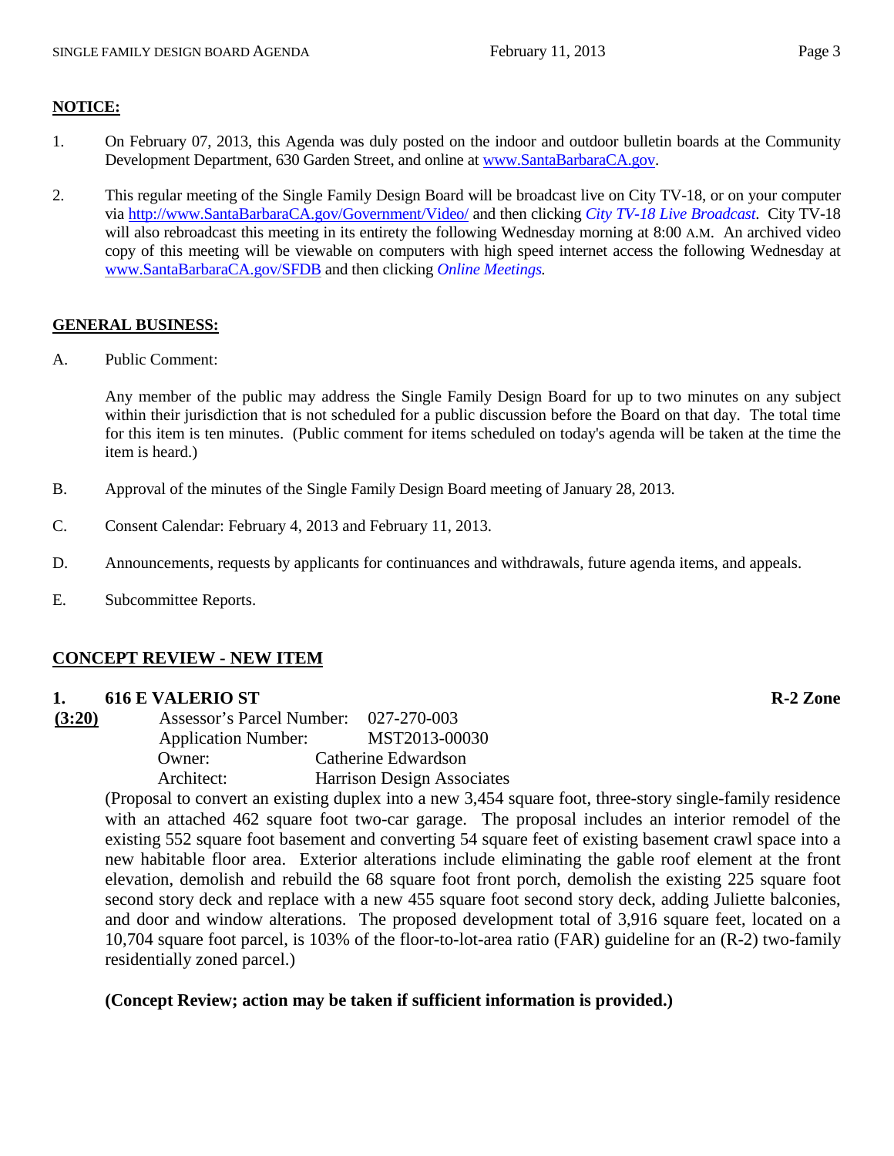#### **NOTICE:**

- 1. On February 07, 2013, this Agenda was duly posted on the indoor and outdoor bulletin boards at the Community Development Department, 630 Garden Street, and online at [www.SantaBarbaraCA.gov.](http://www.santabarbaraca.gov/)
- 2. This regular meeting of the Single Family Design Board will be broadcast live on City TV-18, or on your computer via [http://www.SantaBarbaraCA.gov/Government/Video/](http://www.santabarbaraca.gov/Government/Video/) and then clicking *City TV-18 Live Broadcast*. City TV-18 will also rebroadcast this meeting in its entirety the following Wednesday morning at 8:00 A.M. An archived video copy of this meeting will be viewable on computers with high speed internet access the following Wednesday at [www.SantaBarbaraCA.gov/SFDB](http://www.santabarbaraca.gov/SFDB) and then clicking *Online Meetings.*

#### **GENERAL BUSINESS:**

A. Public Comment:

Any member of the public may address the Single Family Design Board for up to two minutes on any subject within their jurisdiction that is not scheduled for a public discussion before the Board on that day. The total time for this item is ten minutes. (Public comment for items scheduled on today's agenda will be taken at the time the item is heard.)

- B. Approval of the minutes of the Single Family Design Board meeting of January 28, 2013.
- C. Consent Calendar: February 4, 2013 and February 11, 2013.
- D. Announcements, requests by applicants for continuances and withdrawals, future agenda items, and appeals.
- E. Subcommittee Reports.

#### **CONCEPT REVIEW - NEW ITEM**

#### **1. 616 E VALERIO ST R-2 Zone**

**(3:20)** Assessor's Parcel Number: 027-270-003 Application Number: MST2013-00030 Owner: Catherine Edwardson Architect: Harrison Design Associates

> (Proposal to convert an existing duplex into a new 3,454 square foot, three-story single-family residence with an attached 462 square foot two-car garage. The proposal includes an interior remodel of the existing 552 square foot basement and converting 54 square feet of existing basement crawl space into a new habitable floor area. Exterior alterations include eliminating the gable roof element at the front elevation, demolish and rebuild the 68 square foot front porch, demolish the existing 225 square foot second story deck and replace with a new 455 square foot second story deck, adding Juliette balconies, and door and window alterations. The proposed development total of 3,916 square feet, located on a 10,704 square foot parcel, is 103% of the floor-to-lot-area ratio (FAR) guideline for an (R-2) two-family residentially zoned parcel.)

#### **(Concept Review; action may be taken if sufficient information is provided.)**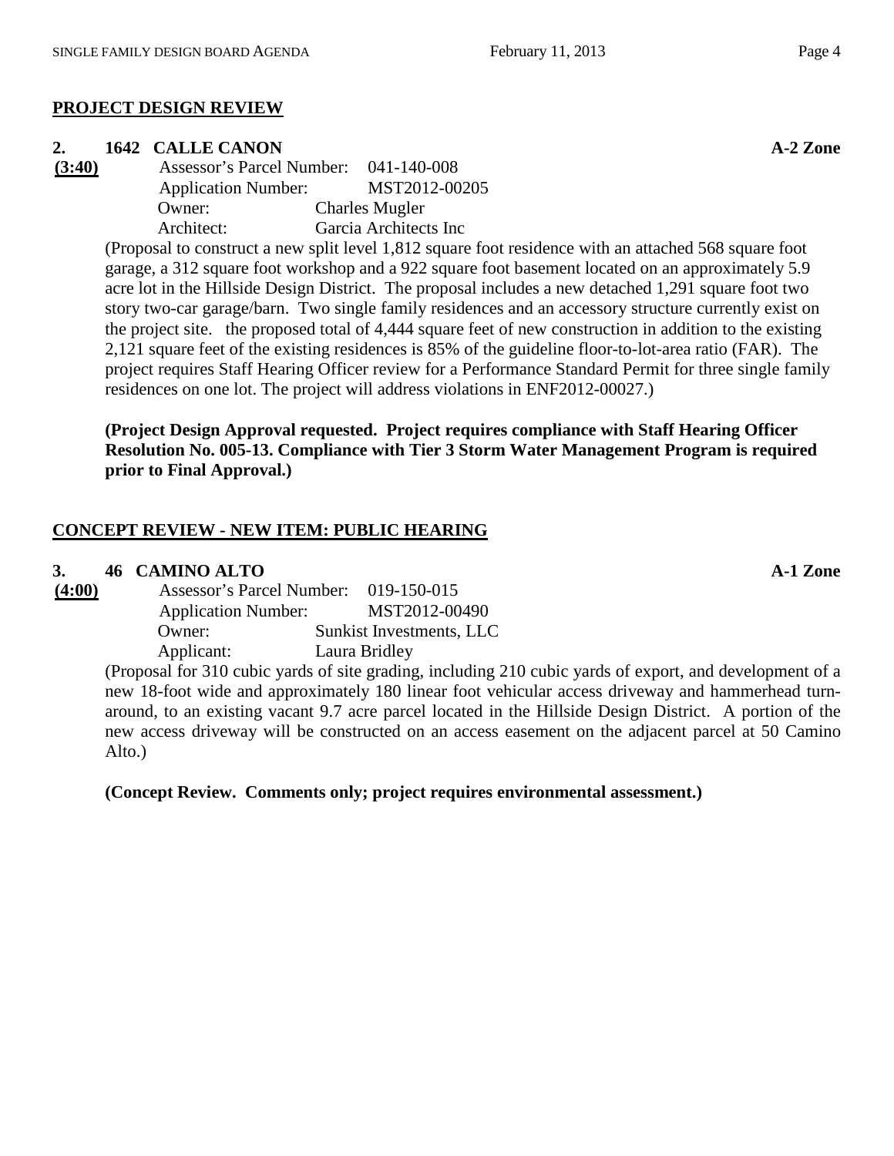# **PROJECT DESIGN REVIEW**

**2. 1642** CALLE CANON **A-2 Zone**<br> **1642** CALLE CANON **Assessor's Parcel Number:** 041-140-008 **(3:40)** Assessor's Parcel Number: 041-140-008 Application Number: MST2012-00205 Owner: Charles Mugler Architect: Garcia Architects Inc

(Proposal to construct a new split level 1,812 square foot residence with an attached 568 square foot garage, a 312 square foot workshop and a 922 square foot basement located on an approximately 5.9 acre lot in the Hillside Design District. The proposal includes a new detached 1,291 square foot two story two-car garage/barn. Two single family residences and an accessory structure currently exist on the project site. the proposed total of 4,444 square feet of new construction in addition to the existing 2,121 square feet of the existing residences is 85% of the guideline floor-to-lot-area ratio (FAR). The project requires Staff Hearing Officer review for a Performance Standard Permit for three single family residences on one lot. The project will address violations in ENF2012-00027.)

#### **(Project Design Approval requested. Project requires compliance with Staff Hearing Officer Resolution No. 005-13. Compliance with Tier 3 Storm Water Management Program is required prior to Final Approval.)**

# **CONCEPT REVIEW - NEW ITEM: PUBLIC HEARING**

#### **3. 46 CAMINO ALTO A-1 Zone**

| (4:00) | Assessor's Parcel Number:  | 019-150-015              |
|--------|----------------------------|--------------------------|
|        | <b>Application Number:</b> | MST2012-00490            |
|        | Owner:                     | Sunkist Investments, LLC |
|        | Applicant:                 | Laura Bridley            |
|        |                            |                          |

(Proposal for 310 cubic yards of site grading, including 210 cubic yards of export, and development of a new 18-foot wide and approximately 180 linear foot vehicular access driveway and hammerhead turnaround, to an existing vacant 9.7 acre parcel located in the Hillside Design District. A portion of the new access driveway will be constructed on an access easement on the adjacent parcel at 50 Camino Alto.)

**(Concept Review. Comments only; project requires environmental assessment.)**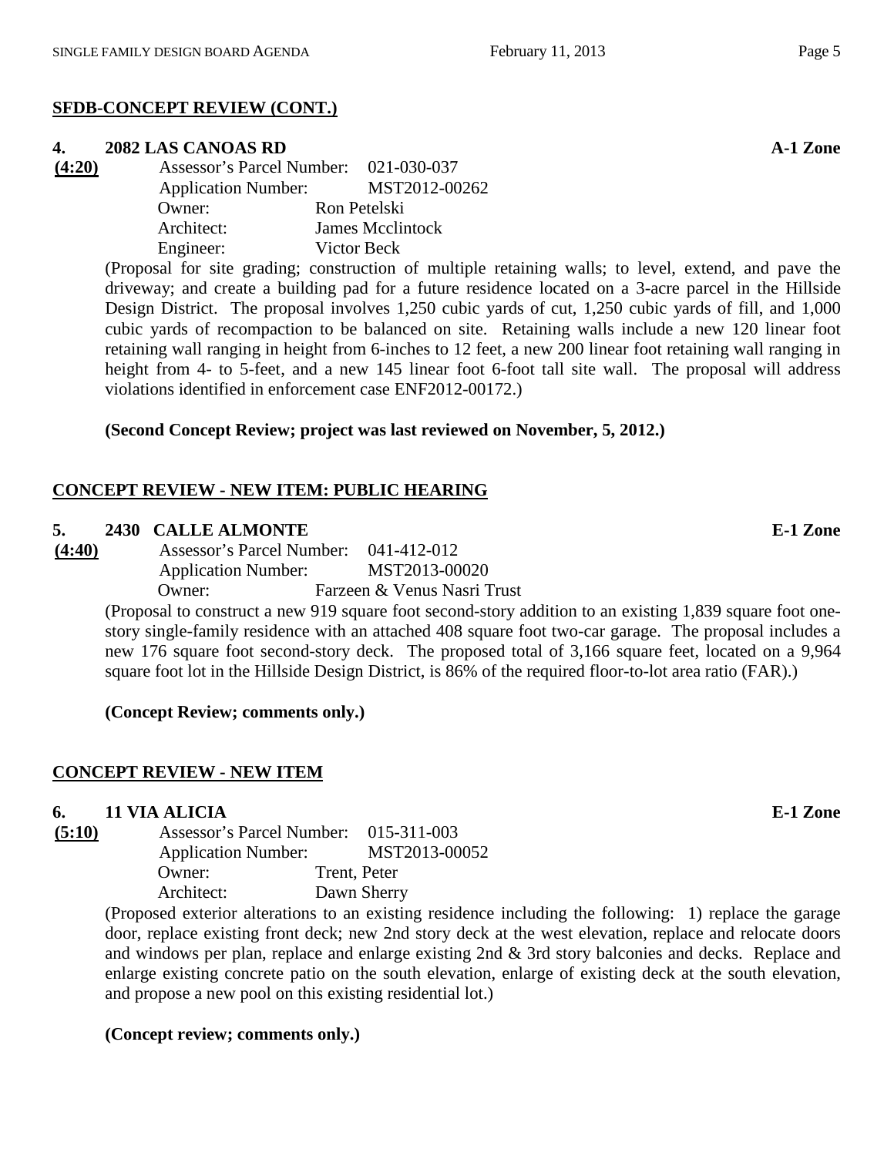# **SFDB-CONCEPT REVIEW (CONT.)**

#### **4. 2082 LAS CANOAS RD A-1 Zone**

**(4:20)** Assessor's Parcel Number: 021-030-037 Application Number: MST2012-00262 Owner: Ron Petelski Architect: James Mcclintock Engineer: Victor Beck

(Proposal for site grading; construction of multiple retaining walls; to level, extend, and pave the driveway; and create a building pad for a future residence located on a 3-acre parcel in the Hillside Design District. The proposal involves 1,250 cubic yards of cut, 1,250 cubic yards of fill, and 1,000 cubic yards of recompaction to be balanced on site. Retaining walls include a new 120 linear foot retaining wall ranging in height from 6-inches to 12 feet, a new 200 linear foot retaining wall ranging in height from 4- to 5-feet, and a new 145 linear foot 6-foot tall site wall. The proposal will address violations identified in enforcement case ENF2012-00172.)

# **(Second Concept Review; project was last reviewed on November, 5, 2012.)**

# **CONCEPT REVIEW - NEW ITEM: PUBLIC HEARING**

#### **5. 2430 CALLE ALMONTE E-1 Zone**

**(4:40)** Assessor's Parcel Number: 041-412-012 Application Number: MST2013-00020 Owner: Farzeen & Venus Nasri Trust

> (Proposal to construct a new 919 square foot second-story addition to an existing 1,839 square foot onestory single-family residence with an attached 408 square foot two-car garage. The proposal includes a new 176 square foot second-story deck. The proposed total of 3,166 square feet, located on a 9,964 square foot lot in the Hillside Design District, is 86% of the required floor-to-lot area ratio (FAR).)

**(Concept Review; comments only.)**

# **CONCEPT REVIEW - NEW ITEM**

# **6. 11 VIA ALICIA E-1 Zone**

 $(5:10)$ 

| Assessor's Parcel Number: 015-311-003 |              |               |
|---------------------------------------|--------------|---------------|
| <b>Application Number:</b>            |              | MST2013-00052 |
| Owner:                                | Trent, Peter |               |
| Architect:                            |              | Dawn Sherry   |
|                                       |              |               |

(Proposed exterior alterations to an existing residence including the following: 1) replace the garage door, replace existing front deck; new 2nd story deck at the west elevation, replace and relocate doors and windows per plan, replace and enlarge existing 2nd & 3rd story balconies and decks. Replace and enlarge existing concrete patio on the south elevation, enlarge of existing deck at the south elevation, and propose a new pool on this existing residential lot.)

# **(Concept review; comments only.)**